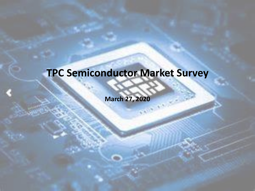## **TPC Semiconductor Market Survey**

**March 27, 2020**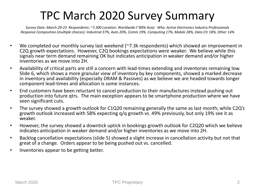### TPC March 2020 Survey Summary

*Survey Date: March 20-23 Respondents: ~7,300 Location: Worldwide (~80% Asia) Who: Active Electronics Industry Professionals Response Composition (multiple choices): Industrial 37%, Auto 20%, Comm 19%, Computing 17%, Mobile 28%, Data Ctr 18%, Other 14%*

- We completed our monthly survey last weekend ( $\sim$ 7.3k respondents) which showed an improvement in C2Q growth expectations. However, C2Q bookings expectations were weaker. We believe while this signals near term demand remaining OK but indicates anticipation in weaker demand and/or higher inventories as we move into 2H.
- Availability of critical parts are still a concern with lead-times extending and inventories remaining low. Slide 6, which shows a more granular view of inventory by key components, showed a marked decrease in inventory and availability (especially DRAM & Passives) as we believe we are headed towards longer component lead-times and allocation is some instances.
- End customers have been reluctant to cancel production to their manufactures instead pushing out production into future qtrs. The main exception appears to be smartphone production where we have seen significant cuts.
- The survey showed a growth outlook for C1Q20 remaining generally the same as last month; while C2Q's growth outlook increased with 58% expecting q/q growth vs. 49% previously, but only 19% see it as weaker.
- However, the survey showed a downtick uptick in bookings growth outlook for C2Q20 which we believe indicates anticipation in weaker demand and/or higher inventories as we move into 2H.
- Backlog cancellation expectations (slide 5) showed a slight increase in cancellation activity but not that great of a change. Orders appear to be being pushed out vs. cancelled.
- Inventories appear to be getting better.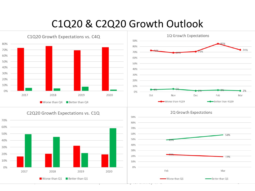#### C1Q20 & C2Q20 Growth Outlook



C2Q20 Growth Expectations vs. C1Q







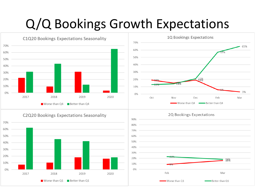# Q/Q Bookings Growth Expectations



#### C2Q20 Bookings Expectations Seasonality





#### 2Q Bookings Expectations

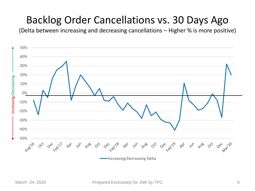### Backlog Order Cancellations vs. 30 Days Ago

(Delta between increasing and decreasing cancellations – Higher % is more positive)

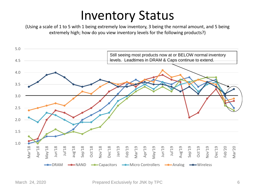## Inventory Status

(Using a scale of 1 to 5 with 1 being extremely low inventory, 3 being the normal amount, and 5 being extremely high; how do you view inventory levels for the following products?)

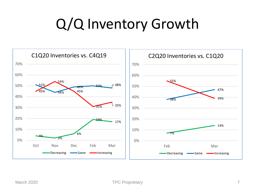# Q/Q Inventory Growth

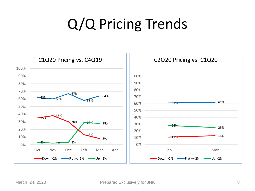# Q/Q Pricing Trends